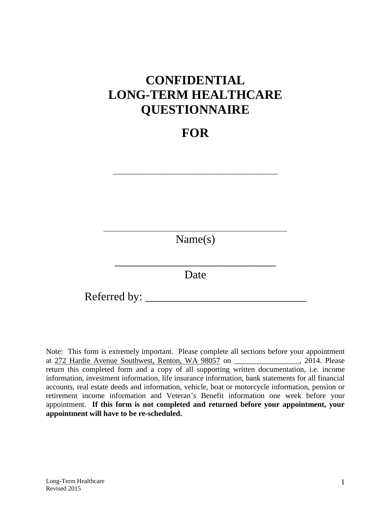# **CONFIDENTIAL LONG-TERM HEALTHCARE QUESTIONNAIRE**

## **FOR**

\_\_\_\_\_\_\_\_\_\_\_\_\_\_\_\_\_\_\_\_\_\_\_\_\_\_\_\_\_\_\_\_\_\_\_\_\_\_\_\_\_\_\_

Name(s)

Date

\_\_\_\_\_\_\_\_\_\_\_\_\_\_\_\_\_\_\_\_\_\_\_\_\_\_\_\_

Referred by: \_\_\_\_\_\_\_\_\_\_\_\_\_\_\_\_\_\_\_\_\_\_\_\_\_\_\_\_

Note: This form is extremely important. Please complete all sections before your appointment at 272 Hardie Avenue Southwest, Renton, WA 98057 on \_\_\_\_\_\_\_\_\_\_\_\_\_\_\_\_\_, 2014. Please return this completed form and a copy of all supporting written documentation, i.e. income information, investment information, life insurance information, bank statements for all financial accounts, real estate deeds and information, vehicle, boat or motorcycle information, pension or retirement income information and Veteran's Benefit information one week before your appointment. **If this form is not completed and returned before your appointment, your appointment will have to be re-scheduled.**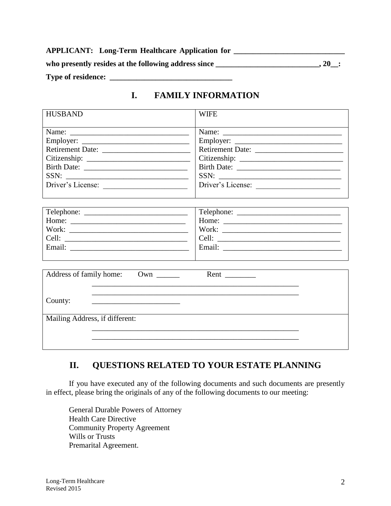| <b>APPLICANT:</b> Long-Term Healthcare Application for |         |
|--------------------------------------------------------|---------|
| who presently resides at the following address since   | $.20$ : |
| <b>Type of residence:</b>                              |         |

## **I. FAMILY INFORMATION**

| <b>HUSBAND</b>                 | <b>WIFE</b>       |  |  |
|--------------------------------|-------------------|--|--|
|                                |                   |  |  |
|                                |                   |  |  |
|                                |                   |  |  |
|                                |                   |  |  |
|                                |                   |  |  |
|                                |                   |  |  |
| SSN:                           | SSN:              |  |  |
| Driver's License:              | Driver's License: |  |  |
|                                |                   |  |  |
|                                |                   |  |  |
|                                |                   |  |  |
|                                | Work:             |  |  |
|                                |                   |  |  |
|                                |                   |  |  |
|                                |                   |  |  |
|                                |                   |  |  |
| Address of family home: Own    |                   |  |  |
|                                |                   |  |  |
| County:                        |                   |  |  |
|                                |                   |  |  |
| Mailing Address, if different: |                   |  |  |
|                                |                   |  |  |
|                                |                   |  |  |
|                                |                   |  |  |

## **II. QUESTIONS RELATED TO YOUR ESTATE PLANNING**

If you have executed any of the following documents and such documents are presently in effect, please bring the originals of any of the following documents to our meeting:

General Durable Powers of Attorney Health Care Directive Community Property Agreement Wills or Trusts Premarital Agreement.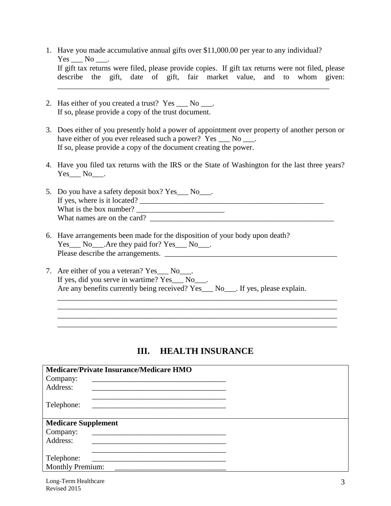- 1. Have you made accumulative annual gifts over \$11,000.00 per year to any individual?  $Yes \_\_ No \_\_$ . If gift tax returns were filed, please provide copies. If gift tax returns were not filed, please describe the gift, date of gift, fair market value, and to whom given: \_\_\_\_\_\_\_\_\_\_\_\_\_\_\_\_\_\_\_\_\_\_\_\_\_\_\_\_\_\_\_\_\_\_\_\_\_\_\_\_\_\_\_\_\_\_\_\_\_\_\_\_\_\_\_\_\_\_\_\_\_\_\_\_\_\_\_\_\_\_\_
- 2. Has either of you created a trust? Yes \_\_\_ No \_\_\_. If so, please provide a copy of the trust document.
- 3. Does either of you presently hold a power of appointment over property of another person or have either of you ever released such a power? Yes \_\_\_ No \_\_\_. If so, please provide a copy of the document creating the power.
- 4. Have you filed tax returns with the IRS or the State of Washington for the last three years?  $Yes$  No\_\_\_.
- 5. Do you have a safety deposit box? Yes\_\_\_ No\_\_\_. If yes, where is it located? \_\_\_\_\_\_\_\_\_\_\_\_\_\_\_\_\_\_\_\_\_\_\_\_\_\_\_\_\_\_\_\_\_\_\_\_\_\_\_\_\_\_\_\_\_\_\_\_ What is the box number? \_\_\_\_\_\_\_\_\_\_\_\_\_\_\_\_\_\_\_\_\_\_\_ What names are on the card?
- 6. Have arrangements been made for the disposition of your body upon death? Yes\_\_\_ No\_\_\_.Are they paid for? Yes\_\_\_ No\_\_\_. Please describe the arrangements. \_\_\_\_\_\_\_\_\_\_\_\_\_\_\_\_\_\_\_\_\_\_\_\_\_\_\_\_\_\_\_\_\_\_\_\_\_\_\_\_\_\_\_\_\_
- 7. Are either of you a veteran? Yes \_\_\_\_ No \_\_\_. If yes, did you serve in wartime? Yes\_\_\_ No\_\_\_. Are any benefits currently being received? Yes No. If yes, please explain.

## **III. HEALTH INSURANCE**

\_\_\_\_\_\_\_\_\_\_\_\_\_\_\_\_\_\_\_\_\_\_\_\_\_\_\_\_\_\_\_\_\_\_\_\_\_\_\_\_\_\_\_\_\_\_\_\_\_\_\_\_\_\_\_\_\_\_\_\_\_\_\_\_\_\_\_\_\_\_\_\_\_ \_\_\_\_\_\_\_\_\_\_\_\_\_\_\_\_\_\_\_\_\_\_\_\_\_\_\_\_\_\_\_\_\_\_\_\_\_\_\_\_\_\_\_\_\_\_\_\_\_\_\_\_\_\_\_\_\_\_\_\_\_\_\_\_\_\_\_\_\_\_\_\_\_ \_\_\_\_\_\_\_\_\_\_\_\_\_\_\_\_\_\_\_\_\_\_\_\_\_\_\_\_\_\_\_\_\_\_\_\_\_\_\_\_\_\_\_\_\_\_\_\_\_\_\_\_\_\_\_\_\_\_\_\_\_\_\_\_\_\_\_\_\_\_\_\_\_ \_\_\_\_\_\_\_\_\_\_\_\_\_\_\_\_\_\_\_\_\_\_\_\_\_\_\_\_\_\_\_\_\_\_\_\_\_\_\_\_\_\_\_\_\_\_\_\_\_\_\_\_\_\_\_\_\_\_\_\_\_\_\_\_\_\_\_\_\_\_\_\_\_

| <b>Medicare/Private Insurance/Medicare HMO</b>                          |  |
|-------------------------------------------------------------------------|--|
| Company:                                                                |  |
| Address:                                                                |  |
| Telephone:<br><u> 1980 - Andrea Andrewski, fransk politik (d. 1980)</u> |  |
| <b>Medicare Supplement</b>                                              |  |
| Company:<br><u> 1989 - Jan Barnett, fransk politik (d. 1989)</u>        |  |
| Address:                                                                |  |
|                                                                         |  |
| Telephone:                                                              |  |
| <b>Monthly Premium:</b>                                                 |  |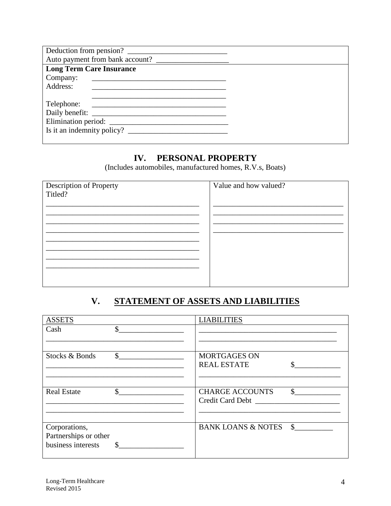| Deduction from pension?         |  |
|---------------------------------|--|
| Auto payment from bank account? |  |
| <b>Long Term Care Insurance</b> |  |
| Company:                        |  |
| Address:                        |  |
|                                 |  |
| Telephone:                      |  |
|                                 |  |
|                                 |  |
|                                 |  |
|                                 |  |

#### PERSONAL PROPERTY IV.

(Includes automobiles, manufactured homes, R.V.s, Boats)

| Description of Property | Value and how valued? |
|-------------------------|-----------------------|
| Titled?                 |                       |
|                         |                       |
|                         |                       |
|                         |                       |
|                         |                       |
|                         |                       |
|                         |                       |
|                         |                       |
|                         |                       |
|                         |                       |
|                         |                       |

#### $V_{\bullet}$ **STATEMENT OF ASSETS AND LIABILITIES**

| <b>ASSETS</b>         | <b>LIABILITIES</b>            |               |
|-----------------------|-------------------------------|---------------|
| Cash                  | \$                            |               |
|                       |                               |               |
| Stocks & Bonds        | \$<br><b>MORTGAGES ON</b>     |               |
|                       | <b>REAL ESTATE</b>            |               |
|                       |                               |               |
| <b>Real Estate</b>    | \$<br><b>CHARGE ACCOUNTS</b>  | $\mathcal{S}$ |
|                       | Credit Card Debt              |               |
|                       |                               |               |
| Corporations,         | <b>BANK LOANS &amp; NOTES</b> | $\mathbf{s}$  |
| Partnerships or other |                               |               |
| business interests    | \$                            |               |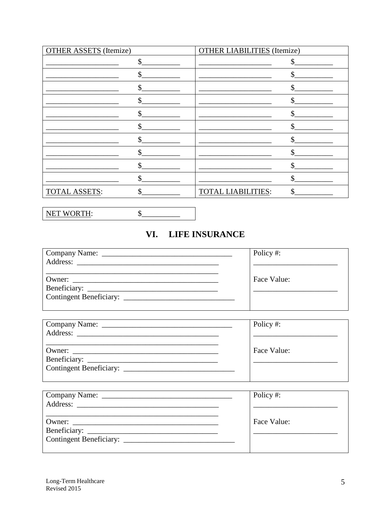| <b>OTHER ASSETS</b> (Itemize) | <b>OTHER LIABILITIES</b> (Itemize) |
|-------------------------------|------------------------------------|
| \$                            |                                    |
| \$                            |                                    |
|                               |                                    |
| ፍ                             | \$                                 |
| Я                             | \$                                 |
|                               |                                    |
|                               |                                    |
| \$                            |                                    |
|                               |                                    |
|                               |                                    |
| <b>TOTAL ASSETS:</b><br>\$    | <b>TOTAL LIABILITIES:</b><br>ፍ     |

NET WORTH:  $S$ <sub>\_\_\_</sub>

## VI. LIFE INSURANCE

|        | Policy#:    |
|--------|-------------|
|        |             |
|        |             |
| Owner: | Face Value: |
|        |             |
|        |             |
|        |             |

|                         | Policy #:   |
|-------------------------|-------------|
|                         | Face Value: |
| Contingent Beneficiary: |             |

| Policy #:   |
|-------------|
|             |
| Face Value: |
|             |
|             |
|             |